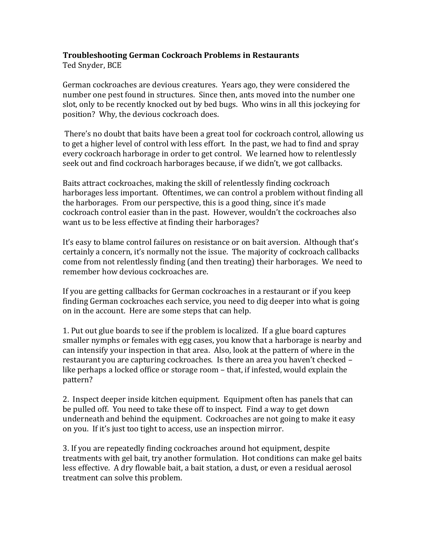## **Troubleshooting German Cockroach Problems in Restaurants**

Ted Snyder, BCE

German cockroaches are devious creatures. Years ago, they were considered the number one pest found in structures. Since then, ants moved into the number one slot, only to be recently knocked out by bed bugs. Who wins in all this jockeying for position? Why, the devious cockroach does.

There's no doubt that baits have been a great tool for cockroach control, allowing us to get a higher level of control with less effort. In the past, we had to find and spray every cockroach harborage in order to get control. We learned how to relentlessly seek out and find cockroach harborages because, if we didn't, we got callbacks.

Baits attract cockroaches, making the skill of relentlessly finding cockroach harborages less important. Oftentimes, we can control a problem without finding all the harborages. From our perspective, this is a good thing, since it's made cockroach control easier than in the past. However, wouldn't the cockroaches also want us to be less effective at finding their harborages?

It's easy to blame control failures on resistance or on bait aversion. Although that's certainly a concern, it's normally not the issue. The majority of cockroach callbacks come from not relentlessly finding (and then treating) their harborages. We need to remember how devious cockroaches are.

If you are getting callbacks for German cockroaches in a restaurant or if you keep finding German cockroaches each service, you need to dig deeper into what is going on in the account. Here are some steps that can help.

1. Put out glue boards to see if the problem is localized. If a glue board captures smaller nymphs or females with egg cases, you know that a harborage is nearby and can intensify your inspection in that area. Also, look at the pattern of where in the restaurant you are capturing cockroaches. Is there an area you haven't checked – like perhaps a locked office or storage room – that, if infested, would explain the pattern?

2. Inspect deeper inside kitchen equipment. Equipment often has panels that can be pulled off. You need to take these off to inspect. Find a way to get down underneath and behind the equipment. Cockroaches are not going to make it easy on you. If it's just too tight to access, use an inspection mirror.

3. If you are repeatedly finding cockroaches around hot equipment, despite treatments with gel bait, try another formulation. Hot conditions can make gel baits less effective. A dry flowable bait, a bait station, a dust, or even a residual aerosol treatment can solve this problem.